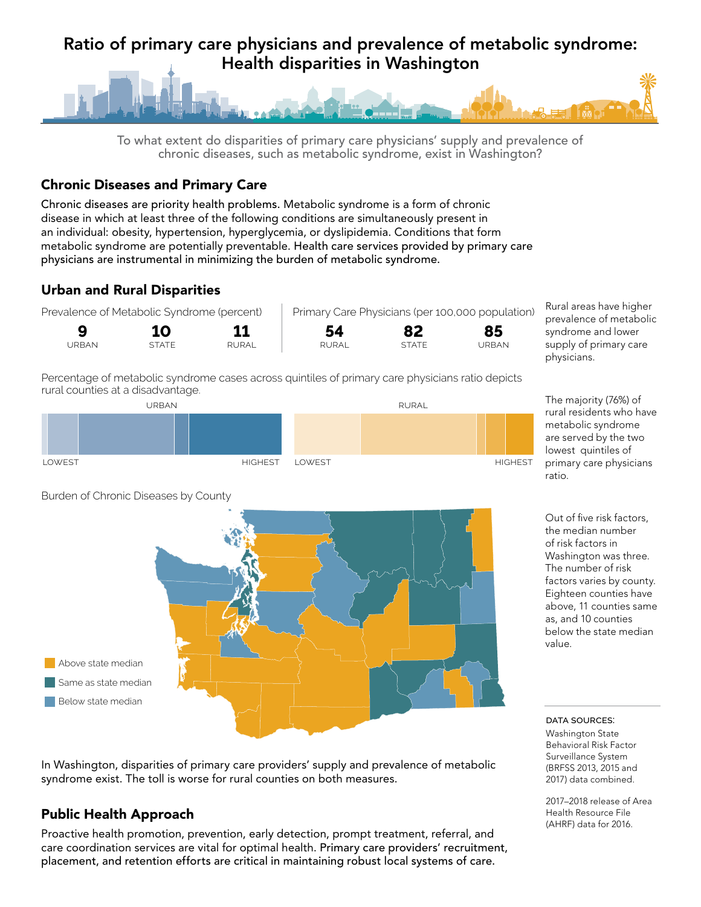# Ratio of primary care physicians and prevalence of metabolic syndrome: Health disparities in Washington



To what extent do disparities of primary care physicians' supply and prevalence of chronic diseases, such as metabolic syndrome, exist in Washington?

#### Chronic Diseases and Primary Care

Chronic diseases are priority health problems. Metabolic syndrome is a form of chronic disease in which at least three of the following conditions are simultaneously present in an individual: obesity, hypertension, hyperglycemia, or dyslipidemia. Conditions that form metabolic syndrome are potentially preventable. Health care services provided by primary care physicians are instrumental in minimizing the burden of metabolic syndrome.

# Urban and Rural Disparities



Percentage of metabolic syndrome cases across quintiles of primary care physicians ratio depicts rural counties at a disadvantage.



**0 20 40 60 80 100 0 20 40 60 80 100**

**Lowest Highest**



Rural areas have higher prevalence of metabolic syndrome and lower supply of primary care

metabolic syndrome are served by the two lowest quintiles of primary care physicians ratio.

Out of five risk factors, the median number of risk factors in Washington was three. The number of risk factors varies by county. Eighteen counties have above, 11 counties same as, and 10 counties below the state median value.

data sources:

Washington State Behavioral Risk Factor Surveillance System (BRFSS 2013, 2015 and 2017) data combined.

2017–2018 release of Area Health Resource File (AHRF) data for 2016.

Burden of Chronic Diseases by County

**Lowest Highest**

In Washington, disparities of primary care providers' supply and prevalence of metabolic syndrome exist. The toll is worse for rural counties on both measures.

## Public Health Approach

Above state median Same as state median Below state median

Proactive health promotion, prevention, early detection, prompt treatment, referral, and care coordination services are vital for optimal health. Primary care providers' recruitment, placement, and retention efforts are critical in maintaining robust local systems of care.